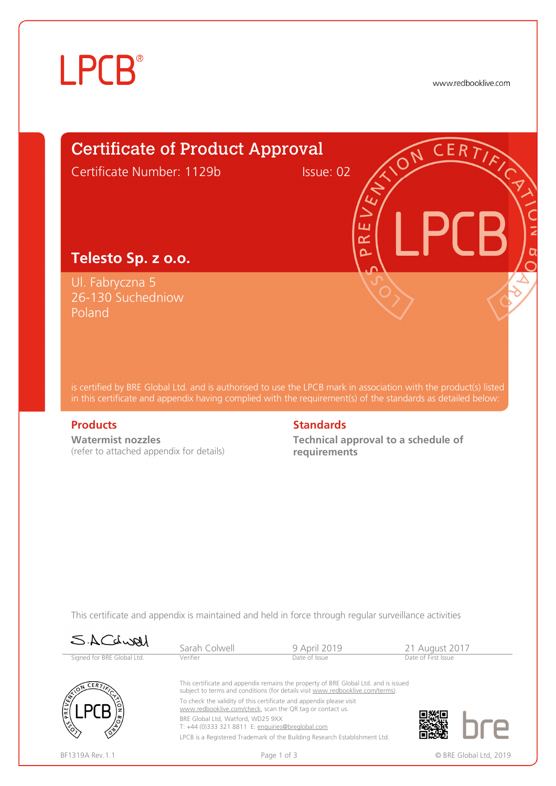# **LPCB**<sup>®</sup>

www.redbooklive.com



is certified by BRE Global Ltd. and is authorised to use the LPCB mark in association with the product(s) listed in this certificate and appendix having complied with the requirement(s) of the standards as detailed below:

Poland

**Watermist nozzles**  (refer to attached appendix for details)

#### **Products** Standards **Standards**

**Technical approval to a schedule of requirements**

This certificate and appendix is maintained and held in force through regular surveillance activities

| SACLUAL                    | Sarah Colwell                                                                                                                                                         | 9 April 2019                                                               | 21 August 2017      |  |  |  |
|----------------------------|-----------------------------------------------------------------------------------------------------------------------------------------------------------------------|----------------------------------------------------------------------------|---------------------|--|--|--|
| Signed for BRE Global Ltd. | Verifier                                                                                                                                                              | Date of Issue                                                              | Date of First Issue |  |  |  |
| CERFT<br><b>PRE</b>        | This certificate and appendix remains the property of BRE Global Ltd. and is issued<br>subject to terms and conditions (for details visit www.redbooklive.com/terms). |                                                                            |                     |  |  |  |
|                            | To check the validity of this certificate and appendix please visit<br>www.redbooklive.com/check, scan the QR tag or contact us.                                      |                                                                            |                     |  |  |  |
|                            | BRE Global Ltd. Watford. WD25 9XX<br>T: +44 (0)333 321 8811 E: enquiries@breglobal.com                                                                                |                                                                            |                     |  |  |  |
|                            |                                                                                                                                                                       | LPCB is a Registered Trademark of the Building Research Establishment Ltd. |                     |  |  |  |
| BF1319A Rev.1.1            | Page 1 of 3                                                                                                                                                           | © BRE Global Ltd, 2019                                                     |                     |  |  |  |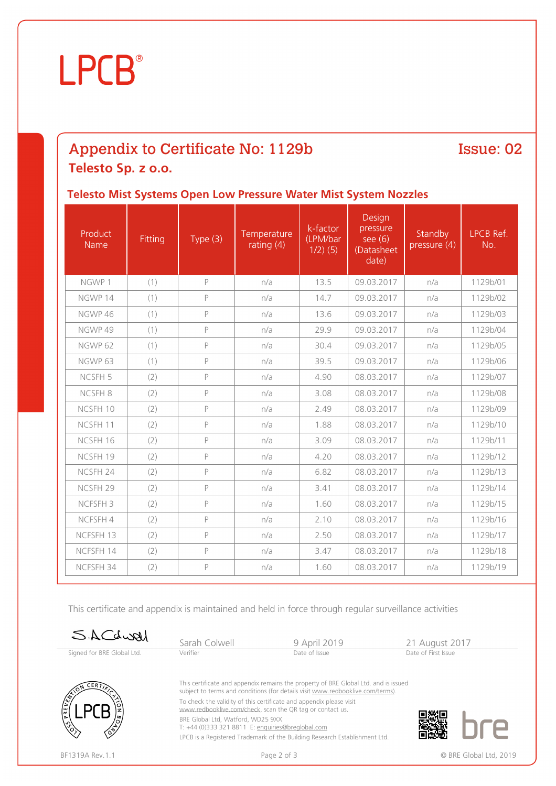## **LPCB**®

### Appendix to Certificate No: 1129b

#### Issue: 02

#### **Telesto Sp. z o.o.**

#### **Telesto Mist Systems Open Low Pressure Water Mist System Nozzles**

| Product<br><b>Name</b> | Fitting | Type $(3)$   | Temperature<br>rating $(4)$ | k-factor<br>(LPM/bar<br>$1/2)$ (5) | Design<br>pressure<br>see $(6)$<br>(Datasheet)<br>date) | Standby<br>pressure (4) | LPCB Ref.<br>No. |
|------------------------|---------|--------------|-----------------------------|------------------------------------|---------------------------------------------------------|-------------------------|------------------|
| NGWP 1                 | (1)     | P            | n/a                         | 13.5                               | 09.03.2017                                              | n/a                     | 1129b/01         |
| NGWP 14                | (1)     | P            | n/a                         | 14.7                               | 09.03.2017                                              | n/a                     | 1129b/02         |
| NGWP 46                | (1)     | $\mathsf{P}$ | n/a                         | 13.6                               | 09.03.2017                                              | n/a                     | 1129b/03         |
| NGWP 49                | (1)     | P            | n/a                         | 29.9                               | 09.03.2017                                              | n/a                     | 1129b/04         |
| NGWP 62                | (1)     | P            | n/a                         | 30.4                               | 09.03.2017                                              | n/a                     | 1129b/05         |
| NGWP 63                | (1)     | P            | n/a                         | 39.5                               | 09.03.2017                                              | n/a                     | 1129b/06         |
| NCSFH <sub>5</sub>     | (2)     | $\mathsf{P}$ | n/a                         | 4.90                               | 08.03.2017                                              | n/a                     | 1129b/07         |
| NCSFH 8                | (2)     | P            | n/a                         | 3.08                               | 08.03.2017                                              | n/a                     | 1129b/08         |
| NCSFH 10               | (2)     | $\mathsf{P}$ | n/a                         | 2.49                               | 08.03.2017                                              | n/a                     | 1129b/09         |
| NCSFH 11               | (2)     | P            | n/a                         | 1.88                               | 08.03.2017                                              | n/a                     | 1129b/10         |
| NCSFH 16               | (2)     | $\mathsf{P}$ | n/a                         | 3.09                               | 08.03.2017                                              | n/a                     | 1129b/11         |
| NCSFH 19               | (2)     | P            | n/a                         | 4.20                               | 08.03.2017                                              | n/a                     | 1129b/12         |
| NCSFH 24               | (2)     | $\mathsf{P}$ | n/a                         | 6.82                               | 08.03.2017                                              | n/a                     | 1129b/13         |
| NCSFH 29               | (2)     | $\mathsf{P}$ | n/a                         | 3.41                               | 08.03.2017                                              | n/a                     | 1129b/14         |
| NCFSFH <sub>3</sub>    | (2)     | P            | n/a                         | 1.60                               | 08.03.2017                                              | n/a                     | 1129b/15         |
| NCFSFH 4               | (2)     | $\mathsf{P}$ | n/a                         | 2.10                               | 08.03.2017                                              | n/a                     | 1129b/16         |
| NCFSFH 13              | (2)     | $\mathsf{P}$ | n/a                         | 2.50                               | 08.03.2017                                              | n/a                     | 1129b/17         |
| NCFSFH 14              | (2)     | P            | n/a                         | 3.47                               | 08.03.2017                                              | n/a                     | 1129b/18         |
| NCFSFH 34              | (2)     | $\mathsf{P}$ | n/a                         | 1.60                               | 08.03.2017                                              | n/a                     | 1129b/19         |

This certificate and appendix is maintained and held in force through regular surveillance activities

| SACQWELL                   | Sarah Colwell | 9 April 2019  | 21 August 2017      |  |
|----------------------------|---------------|---------------|---------------------|--|
| Signed for BRE Global Ltd. | Verifier      | Date of Issue | Date of First Issue |  |



This certificate and appendix remains the property of BRE Global Ltd. and is issued subject to terms and conditions (for details visit [www.redbooklive.com/terms\)](http://www.redbooklive.com/terms)). To check the validity of this certificate and appendix please visit [www.redbooklive.com/check,](http://www.redbooklive.com/check) scan the QR tag or contact us. BRE Global Ltd, Watford, WD25 9XX

T: +44 (0)333 321 8811 E: [enquiries@breglobal.com](mailto:enquiries@breglobal.com) LPCB is a Registered Trademark of the Building Research Establishment Ltd.

BF1319A Rev.1.1 **Example 2 of 3** Page 2 of 3 **Decision Page 2 of 3** CDBRE Global Ltd, 2019